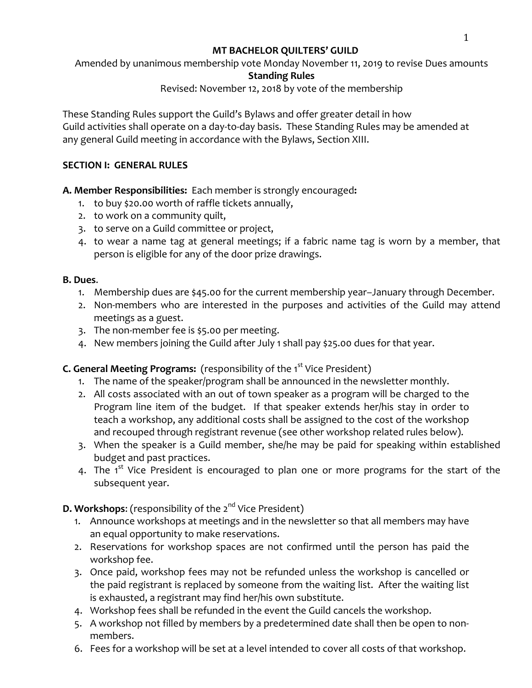#### **MT BACHELOR QUILTERS' GUILD**

Amended by unanimous membership vote Monday November 11, 2019 to revise Dues amounts

## **Standing Rules**

## Revised: November 12, 2018 by vote of the membership

These Standing Rules support the Guild's Bylaws and offer greater detail in how Guild activities shall operate on a day-to-day basis. These Standing Rules may be amended at any general Guild meeting in accordance with the Bylaws, Section XIII.

#### **SECTION I: GENERAL RULES**

#### **A. Member Responsibilities:** Each member is strongly encouraged:

- 1. to buy \$20.00 worth of raffle tickets annually,
- 2. to work on a community quilt,
- 3. to serve on a Guild committee or project,
- 4. to wear a name tag at general meetings; if a fabric name tag is worn by a member, that person is eligible for any of the door prize drawings.

#### **B. Dues**.

- 1. Membership dues are \$45.00 for the current membership year–January through December.
- 2. Non-members who are interested in the purposes and activities of the Guild may attend meetings as a guest.
- 3. The non-member fee is \$5.00 per meeting.
- 4. New members joining the Guild after July 1 shall pay \$25.00 dues for that year.

## **C. General Meeting Programs:** (responsibility of the 1<sup>st</sup> Vice President)

- 1. The name of the speaker/program shall be announced in the newsletter monthly.
- 2. All costs associated with an out of town speaker as a program will be charged to the Program line item of the budget. If that speaker extends her/his stay in order to teach a workshop, any additional costs shall be assigned to the cost of the workshop and recouped through registrant revenue (see other workshop related rules below).
- 3. When the speaker is a Guild member, she/he may be paid for speaking within established budget and past practices.
- 4. The  $1^{st}$  Vice President is encouraged to plan one or more programs for the start of the subsequent year.

## **D. Workshops:** (responsibility of the 2<sup>nd</sup> Vice President)

- 1. Announce workshops at meetings and in the newsletter so that all members may have an equal opportunity to make reservations.
- 2. Reservations for workshop spaces are not confirmed until the person has paid the workshop fee.
- 3. Once paid, workshop fees may not be refunded unless the workshop is cancelled or the paid registrant is replaced by someone from the waiting list. After the waiting list is exhausted, a registrant may find her/his own substitute.
- 4. Workshop fees shall be refunded in the event the Guild cancels the workshop.
- 5. A workshop not filled by members by a predetermined date shall then be open to nonmembers.
- 6. Fees for a workshop will be set at a level intended to cover all costs of that workshop.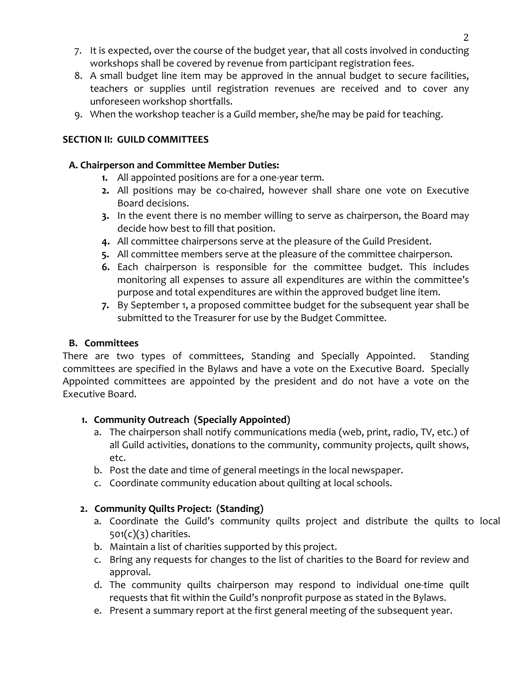- 7. It is expected, over the course of the budget year, that all costs involved in conducting workshops shall be covered by revenue from participant registration fees.
- 8. A small budget line item may be approved in the annual budget to secure facilities, teachers or supplies until registration revenues are received and to cover any unforeseen workshop shortfalls.
- 9. When the workshop teacher is a Guild member, she/he may be paid for teaching.

#### **SECTION II: GUILD COMMITTEES**

#### **A. Chairperson and Committee Member Duties:**

- **1.** All appointed positions are for a one-year term.
- **2.** All positions may be co-chaired, however shall share one vote on Executive Board decisions.
- **3.** In the event there is no member willing to serve as chairperson, the Board may decide how best to fill that position.
- **4.** All committee chairpersons serve at the pleasure of the Guild President.
- **5.** All committee members serve at the pleasure of the committee chairperson.
- **6.** Each chairperson is responsible for the committee budget. This includes monitoring all expenses to assure all expenditures are within the committee's purpose and total expenditures are within the approved budget line item.
- **7.** By September 1, a proposed committee budget for the subsequent year shall be submitted to the Treasurer for use by the Budget Committee.

#### **B. Committees**

There are two types of committees, Standing and Specially Appointed. Standing committees are specified in the Bylaws and have a vote on the Executive Board. Specially Appointed committees are appointed by the president and do not have a vote on the Executive Board.

#### 1. Community Outreach (Specially Appointed)

- a. The chairperson shall notify communications media (web, print, radio, TV, etc.) of all Guild activities, donations to the community, community projects, quilt shows, etc.
- b. Post the date and time of general meetings in the local newspaper.
- c. Coordinate community education about quilting at local schools.

## **2. Community Quilts Project: (Standing)**

- a. Coordinate the Guild's community quilts project and distribute the quilts to local  $501(c)(3)$  charities.
- b. Maintain a list of charities supported by this project.
- c. Bring any requests for changes to the list of charities to the Board for review and approval.
- d. The community quilts chairperson may respond to individual one-time quilt requests that fit within the Guild's nonprofit purpose as stated in the Bylaws.
- e. Present a summary report at the first general meeting of the subsequent year.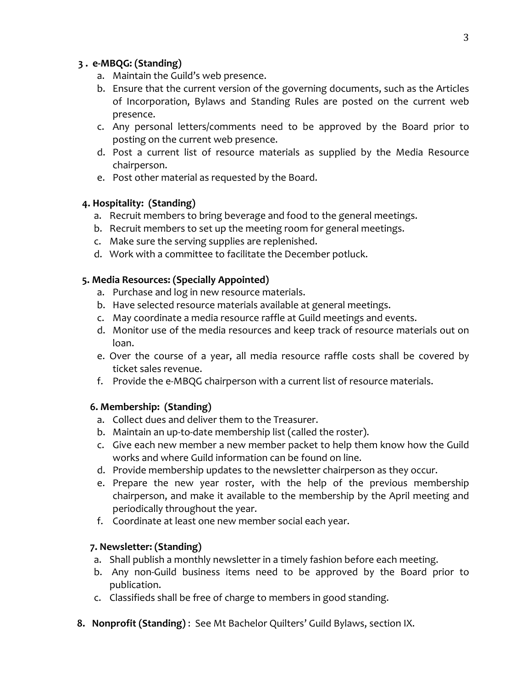#### **3 . e-MBQG: (Standing)**

- a. Maintain the Guild's web presence.
- b. Ensure that the current version of the governing documents, such as the Articles of Incorporation, Bylaws and Standing Rules are posted on the current web presence.
- c. Any personal letters/comments need to be approved by the Board prior to posting on the current web presence.
- d. Post a current list of resource materials as supplied by the Media Resource chairperson.
- e. Post other material as requested by the Board.

## **4. Hospitality: (Standing)**

- a. Recruit members to bring beverage and food to the general meetings.
- b. Recruit members to set up the meeting room for general meetings.
- c. Make sure the serving supplies are replenished.
- d. Work with a committee to facilitate the December potluck.

#### **5. Media Resources: (Specially Appointed)**

- a. Purchase and log in new resource materials.
- b. Have selected resource materials available at general meetings.
- c. May coordinate a media resource raffle at Guild meetings and events.
- d. Monitor use of the media resources and keep track of resource materials out on loan.
- e. Over the course of a year, all media resource raffle costs shall be covered by ticket sales revenue.
- f. Provide the e-MBQG chairperson with a current list of resource materials.

## **6. Membership: (Standing)**

- a. Collect dues and deliver them to the Treasurer.
- b. Maintain an up-to-date membership list (called the roster).
- c. Give each new member a new member packet to help them know how the Guild works and where Guild information can be found on line.
- d. Provide membership updates to the newsletter chairperson as they occur.
- e. Prepare the new year roster, with the help of the previous membership chairperson, and make it available to the membership by the April meeting and periodically throughout the year.
- f. Coordinate at least one new member social each year.

## **7. Newsletter: (Standing)**

- a. Shall publish a monthly newsletter in a timely fashion before each meeting.
- b. Any non-Guild business items need to be approved by the Board prior to publication.
- c. Classifieds shall be free of charge to members in good standing.
- **8. Nonprofit (Standing)**: See Mt Bachelor Quilters' Guild Bylaws, section IX.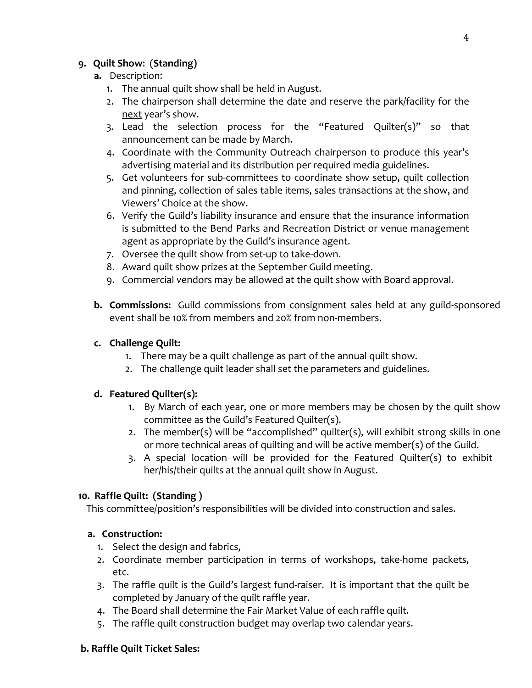## **9. Quilt Show**: (**Standing)**

#### **a.** Description:

- 1. The annual quilt show shall be held in August.
- 2. The chairperson shall determine the date and reserve the park/facility for the next year's show.
- 3. Lead the selection process for the "Featured Quilter(s)" so that announcement can be made by March.
- 4. Coordinate with the Community Outreach chairperson to produce this year's advertising material and its distribution per required media guidelines.
- 5. Get volunteers for sub-committees to coordinate show setup, quilt collection and pinning, collection of sales table items, sales transactions at the show, and Viewers' Choice at the show.
- 6. Verify the Guild's liability insurance and ensure that the insurance information is submitted to the Bend Parks and Recreation District or venue management agent as appropriate by the Guild's insurance agent.
- 7. Oversee the quilt show from set-up to take-down.
- 8. Award quilt show prizes at the September Guild meeting.
- 9. Commercial vendors may be allowed at the quilt show with Board approval.
- **b. Commissions:** Guild commissions from consignment sales held at any guild-sponsored event shall be 10% from members and 20% from non-members.

## **c. Challenge Quilt:**

- 1. There may be a quilt challenge as part of the annual quilt show.
- 2. The challenge quilt leader shall set the parameters and guidelines.

## **d. Featured Quilter(s):**

- 1. By March of each year, one or more members may be chosen by the quilt show committee as the Guild's Featured Quilter(s).
- 2. The member(s) will be "accomplished" quilter(s), will exhibit strong skills in one or more technical areas of quilting and will be active member(s) of the Guild.
- 3. A special location will be provided for the Featured Quilter(s) to exhibit her/his/their quilts at the annual quilt show in August.

## **10. Raffle Quilt: (Standing )**

This committee/position's responsibilities will be divided into construction and sales.

#### **a.** Construction:

- 1. Select the design and fabrics,
- 2. Coordinate member participation in terms of workshops, take-home packets, etc.
- 3. The raffle quilt is the Guild's largest fund-raiser. It is important that the quilt be completed by January of the quilt raffle year.
- 4. The Board shall determine the Fair Market Value of each raffle quilt.
- 5. The raffle quilt construction budget may overlap two calendar years.

#### **b. Raffle Quilt Ticket Sales:**